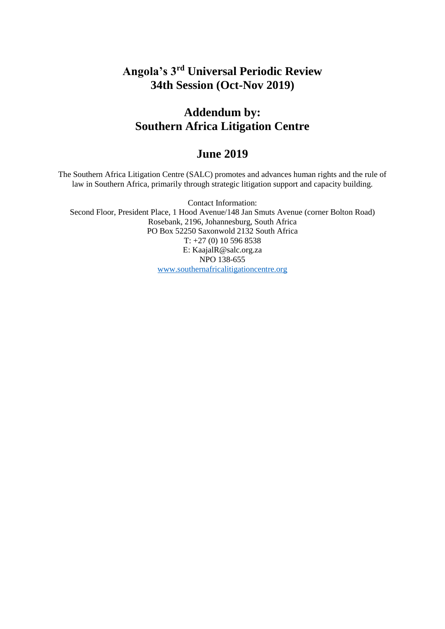# **Angola's 3rd Universal Periodic Review 34th Session (Oct-Nov 2019)**

## **Addendum by: Southern Africa Litigation Centre**

## **June 2019**

The Southern Africa Litigation Centre (SALC) promotes and advances human rights and the rule of law in Southern Africa, primarily through strategic litigation support and capacity building.

Contact Information: Second Floor, President Place, 1 Hood Avenue/148 Jan Smuts Avenue (corner Bolton Road) Rosebank, 2196, Johannesburg, South Africa PO Box 52250 Saxonwold 2132 South Africa T: +27 (0) 10 596 8538 E: KaajalR@salc.org.za NPO 138-655 [www.southernafricalitigationcentre.org](http://www.southernafricalitigationcentre.org/)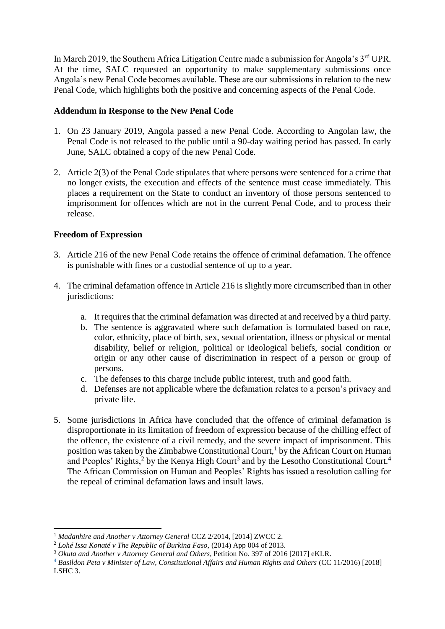In March 2019, the Southern Africa Litigation Centre made a submission for Angola's 3<sup>rd</sup> UPR. At the time, SALC requested an opportunity to make supplementary submissions once Angola's new Penal Code becomes available. These are our submissions in relation to the new Penal Code, which highlights both the positive and concerning aspects of the Penal Code.

#### **Addendum in Response to the New Penal Code**

- 1. On 23 January 2019, Angola passed a new Penal Code. According to Angolan law, the Penal Code is not released to the public until a 90-day waiting period has passed. In early June, SALC obtained a copy of the new Penal Code.
- 2. Article 2(3) of the Penal Code stipulates that where persons were sentenced for a crime that no longer exists, the execution and effects of the sentence must cease immediately. This places a requirement on the State to conduct an inventory of those persons sentenced to imprisonment for offences which are not in the current Penal Code, and to process their release.

### **Freedom of Expression**

1

- 3. Article 216 of the new Penal Code retains the offence of criminal defamation. The offence is punishable with fines or a custodial sentence of up to a year.
- 4. The criminal defamation offence in Article 216 is slightly more circumscribed than in other jurisdictions:
	- a. It requires that the criminal defamation was directed at and received by a third party.
	- b. The sentence is aggravated where such defamation is formulated based on race, color, ethnicity, place of birth, sex, sexual orientation, illness or physical or mental disability, belief or religion, political or ideological beliefs, social condition or origin or any other cause of discrimination in respect of a person or group of persons.
	- c. The defenses to this charge include public interest, truth and good faith.
	- d. Defenses are not applicable where the defamation relates to a person's privacy and private life.
- 5. Some jurisdictions in Africa have concluded that the offence of criminal defamation is disproportionate in its limitation of freedom of expression because of the chilling effect of the offence, the existence of a civil remedy, and the severe impact of imprisonment. This position was taken by the Zimbabwe Constitutional Court,<sup>1</sup> by the African Court on Human and Peoples' Rights,<sup>2</sup> by the Kenya High Court<sup>3</sup> and by the Lesotho Constitutional Court.<sup>4</sup> The African Commission on Human and Peoples' Rights has issued a resolution calling for the repeal of criminal defamation laws and insult laws.

<sup>&</sup>lt;sup>1</sup> Madanhire and Another v Attorney General CCZ 2/2014, [2014] ZWCC 2.

<sup>2</sup> *Lohé Issa Konaté v The Republic of Burkina Faso,* (2014) App 004 of 2013.

<sup>3</sup> *Okuta and Another v Attorney General and Others*, Petition No. 397 of 2016 [2017] eKLR.

<sup>4</sup> *Basildon Peta v Minister of Law, Constitutional Affairs and Human Rights and Others* (CC 11/2016) [2018] LSHC 3.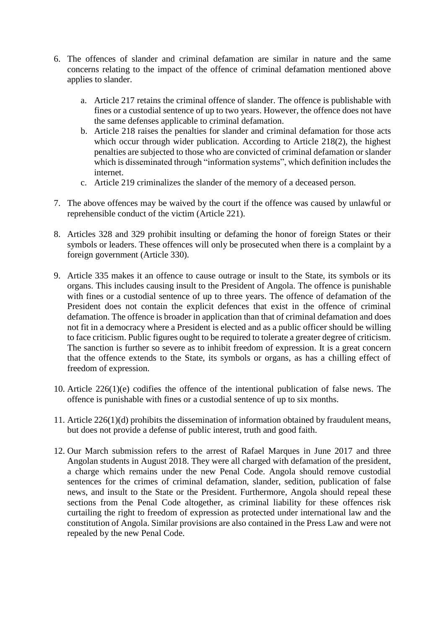- 6. The offences of slander and criminal defamation are similar in nature and the same concerns relating to the impact of the offence of criminal defamation mentioned above applies to slander.
	- a. Article 217 retains the criminal offence of slander. The offence is publishable with fines or a custodial sentence of up to two years. However, the offence does not have the same defenses applicable to criminal defamation.
	- b. Article 218 raises the penalties for slander and criminal defamation for those acts which occur through wider publication. According to Article 218(2), the highest penalties are subjected to those who are convicted of criminal defamation or slander which is disseminated through "information systems", which definition includes the internet.
	- c. Article 219 criminalizes the slander of the memory of a deceased person.
- 7. The above offences may be waived by the court if the offence was caused by unlawful or reprehensible conduct of the victim (Article 221).
- 8. Articles 328 and 329 prohibit insulting or defaming the honor of foreign States or their symbols or leaders. These offences will only be prosecuted when there is a complaint by a foreign government (Article 330).
- 9. Article 335 makes it an offence to cause outrage or insult to the State, its symbols or its organs. This includes causing insult to the President of Angola. The offence is punishable with fines or a custodial sentence of up to three years. The offence of defamation of the President does not contain the explicit defences that exist in the offence of criminal defamation. The offence is broader in application than that of criminal defamation and does not fit in a democracy where a President is elected and as a public officer should be willing to face criticism. Public figures ought to be required to tolerate a greater degree of criticism. The sanction is further so severe as to inhibit freedom of expression. It is a great concern that the offence extends to the State, its symbols or organs, as has a chilling effect of freedom of expression.
- 10. Article 226(1)(e) codifies the offence of the intentional publication of false news. The offence is punishable with fines or a custodial sentence of up to six months.
- 11. Article 226(1)(d) prohibits the dissemination of information obtained by fraudulent means, but does not provide a defense of public interest, truth and good faith.
- 12. Our March submission refers to the arrest of Rafael Marques in June 2017 and three Angolan students in August 2018. They were all charged with defamation of the president, a charge which remains under the new Penal Code. Angola should remove custodial sentences for the crimes of criminal defamation, slander, sedition, publication of false news, and insult to the State or the President. Furthermore, Angola should repeal these sections from the Penal Code altogether, as criminal liability for these offences risk curtailing the right to freedom of expression as protected under international law and the constitution of Angola. Similar provisions are also contained in the Press Law and were not repealed by the new Penal Code.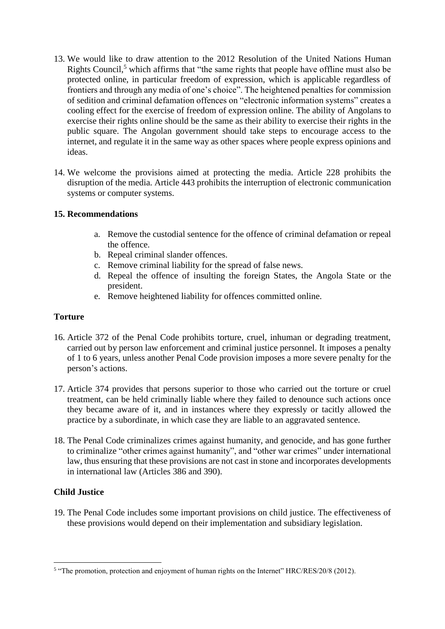- 13. We would like to draw attention to the 2012 Resolution of the United Nations Human Rights Council,<sup>5</sup> which affirms that "the same rights that people have offline must also be protected online, in particular freedom of expression, which is applicable regardless of frontiers and through any media of one's choice". The heightened penalties for commission of sedition and criminal defamation offences on "electronic information systems" creates a cooling effect for the exercise of freedom of expression online. The ability of Angolans to exercise their rights online should be the same as their ability to exercise their rights in the public square. The Angolan government should take steps to encourage access to the internet, and regulate it in the same way as other spaces where people express opinions and ideas.
- 14. We welcome the provisions aimed at protecting the media. Article 228 prohibits the disruption of the media. Article 443 prohibits the interruption of electronic communication systems or computer systems.

### **15. Recommendations**

- a. Remove the custodial sentence for the offence of criminal defamation or repeal the offence.
- b. Repeal criminal slander offences.
- c. Remove criminal liability for the spread of false news.
- d. Repeal the offence of insulting the foreign States, the Angola State or the president.
- e. Remove heightened liability for offences committed online.

### **Torture**

- 16. Article 372 of the Penal Code prohibits torture, cruel, inhuman or degrading treatment, carried out by person law enforcement and criminal justice personnel. It imposes a penalty of 1 to 6 years, unless another Penal Code provision imposes a more severe penalty for the person's actions.
- 17. Article 374 provides that persons superior to those who carried out the torture or cruel treatment, can be held criminally liable where they failed to denounce such actions once they became aware of it, and in instances where they expressly or tacitly allowed the practice by a subordinate, in which case they are liable to an aggravated sentence.
- 18. The Penal Code criminalizes crimes against humanity, and genocide, and has gone further to criminalize "other crimes against humanity", and "other war crimes" under international law, thus ensuring that these provisions are not cast in stone and incorporates developments in international law (Articles 386 and 390).

### **Child Justice**

19. The Penal Code includes some important provisions on child justice. The effectiveness of these provisions would depend on their implementation and subsidiary legislation.

The promotion, protection and enjoyment of human rights on the Internet" HRC/RES/20/8 (2012).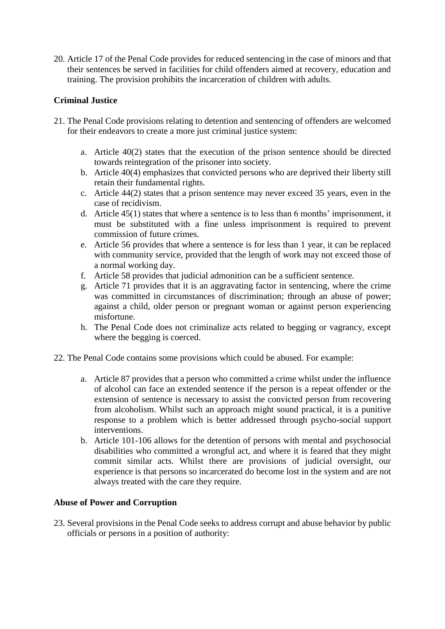20. Article 17 of the Penal Code provides for reduced sentencing in the case of minors and that their sentences be served in facilities for child offenders aimed at recovery, education and training. The provision prohibits the incarceration of children with adults.

## **Criminal Justice**

- 21. The Penal Code provisions relating to detention and sentencing of offenders are welcomed for their endeavors to create a more just criminal justice system:
	- a. Article 40(2) states that the execution of the prison sentence should be directed towards reintegration of the prisoner into society.
	- b. Article 40(4) emphasizes that convicted persons who are deprived their liberty still retain their fundamental rights.
	- c. Article 44(2) states that a prison sentence may never exceed 35 years, even in the case of recidivism.
	- d. Article 45(1) states that where a sentence is to less than 6 months' imprisonment, it must be substituted with a fine unless imprisonment is required to prevent commission of future crimes.
	- e. Article 56 provides that where a sentence is for less than 1 year, it can be replaced with community service, provided that the length of work may not exceed those of a normal working day.
	- f. Article 58 provides that judicial admonition can be a sufficient sentence.
	- g. Article 71 provides that it is an aggravating factor in sentencing, where the crime was committed in circumstances of discrimination; through an abuse of power; against a child, older person or pregnant woman or against person experiencing misfortune.
	- h. The Penal Code does not criminalize acts related to begging or vagrancy, except where the begging is coerced.
- 22. The Penal Code contains some provisions which could be abused. For example:
	- a. Article 87 provides that a person who committed a crime whilst under the influence of alcohol can face an extended sentence if the person is a repeat offender or the extension of sentence is necessary to assist the convicted person from recovering from alcoholism. Whilst such an approach might sound practical, it is a punitive response to a problem which is better addressed through psycho-social support interventions.
	- b. Article 101-106 allows for the detention of persons with mental and psychosocial disabilities who committed a wrongful act, and where it is feared that they might commit similar acts. Whilst there are provisions of judicial oversight, our experience is that persons so incarcerated do become lost in the system and are not always treated with the care they require.

### **Abuse of Power and Corruption**

23. Several provisions in the Penal Code seeks to address corrupt and abuse behavior by public officials or persons in a position of authority: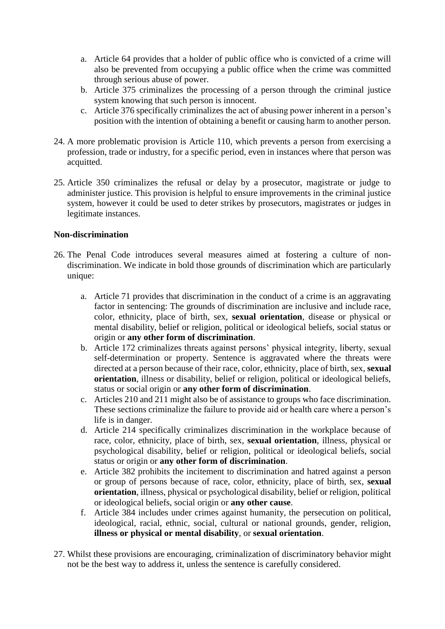- a. Article 64 provides that a holder of public office who is convicted of a crime will also be prevented from occupying a public office when the crime was committed through serious abuse of power.
- b. Article 375 criminalizes the processing of a person through the criminal justice system knowing that such person is innocent.
- c. Article 376 specifically criminalizes the act of abusing power inherent in a person's position with the intention of obtaining a benefit or causing harm to another person.
- 24. A more problematic provision is Article 110, which prevents a person from exercising a profession, trade or industry, for a specific period, even in instances where that person was acquitted.
- 25. Article 350 criminalizes the refusal or delay by a prosecutor, magistrate or judge to administer justice. This provision is helpful to ensure improvements in the criminal justice system, however it could be used to deter strikes by prosecutors, magistrates or judges in legitimate instances.

#### **Non-discrimination**

- 26. The Penal Code introduces several measures aimed at fostering a culture of nondiscrimination. We indicate in bold those grounds of discrimination which are particularly unique:
	- a. Article 71 provides that discrimination in the conduct of a crime is an aggravating factor in sentencing: The grounds of discrimination are inclusive and include race, color, ethnicity, place of birth, sex, **sexual orientation**, disease or physical or mental disability, belief or religion, political or ideological beliefs, social status or origin or **any other form of discrimination**.
	- b. Article 172 criminalizes threats against persons' physical integrity, liberty, sexual self-determination or property. Sentence is aggravated where the threats were directed at a person because of their race, color, ethnicity, place of birth, sex, **sexual orientation**, illness or disability, belief or religion, political or ideological beliefs, status or social origin or **any other form of discrimination**.
	- c. Articles 210 and 211 might also be of assistance to groups who face discrimination. These sections criminalize the failure to provide aid or health care where a person's life is in danger.
	- d. Article 214 specifically criminalizes discrimination in the workplace because of race, color, ethnicity, place of birth, sex, **sexual orientation**, illness, physical or psychological disability, belief or religion, political or ideological beliefs, social status or origin or **any other form of discrimination**.
	- e. Article 382 prohibits the incitement to discrimination and hatred against a person or group of persons because of race, color, ethnicity, place of birth, sex, **sexual orientation**, illness, physical or psychological disability, belief or religion, political or ideological beliefs, social origin or **any other cause**.
	- f. Article 384 includes under crimes against humanity, the persecution on political, ideological, racial, ethnic, social, cultural or national grounds, gender, religion, **illness or physical or mental disability**, or **sexual orientation**.
- 27. Whilst these provisions are encouraging, criminalization of discriminatory behavior might not be the best way to address it, unless the sentence is carefully considered.